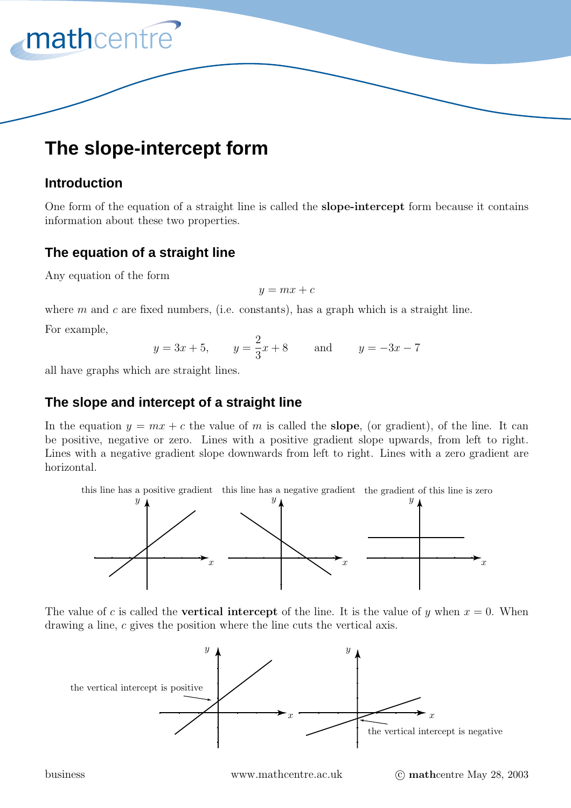# **The slope-intercept form**

# **Introduction**

mathcentre

One form of the equation of a straight line is called the **slope-intercept** form because it contains information about these two properties.

# **The equation of a straight line**

Any equation of the form

$$
y = mx + c
$$

where  $m$  and  $c$  are fixed numbers, (i.e. constants), has a graph which is a straight line.

For example,

$$
y = 3x + 5
$$
,  $y = \frac{2}{3}x + 8$  and  $y = -3x - 7$ 

all have graphs which are straight lines.

## **The slope and intercept of a straight line**

In the equation  $y = mx + c$  the value of m is called the **slope**, (or gradient), of the line. It can be positive, negative or zero. Lines with a positive gradient slope upwards, from left to right. Lines with a negative gradient slope downwards from left to right. Lines with a zero gradient are horizontal.



The value of c is called the **vertical intercept** of the line. It is the value of y when  $x = 0$ . When drawing a line, c gives the position where the line cuts the vertical axis.